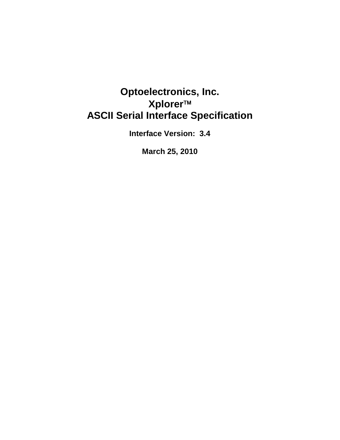# **Optoelectronics, Inc. Xplorer ASCII Serial Interface Specification**

**Interface Version: 3.4** 

**March 25, 2010**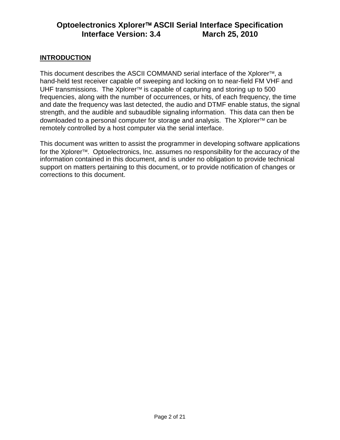### **INTRODUCTION**

This document describes the ASCII COMMAND serial interface of the Xplorer<sup>™</sup>, a hand-held test receiver capable of sweeping and locking on to near-field FM VHF and UHF transmissions. The Xplorer<sup>™</sup> is capable of capturing and storing up to 500 frequencies, along with the number of occurrences, or hits, of each frequency, the time and date the frequency was last detected, the audio and DTMF enable status, the signal strength, and the audible and subaudible signaling information. This data can then be downloaded to a personal computer for storage and analysis. The Xplorer<sup>™</sup> can be remotely controlled by a host computer via the serial interface.

This document was written to assist the programmer in developing software applications for the Xplorer<sup>™</sup>. Optoelectronics, Inc. assumes no responsibility for the accuracy of the information contained in this document, and is under no obligation to provide technical support on matters pertaining to this document, or to provide notification of changes or corrections to this document.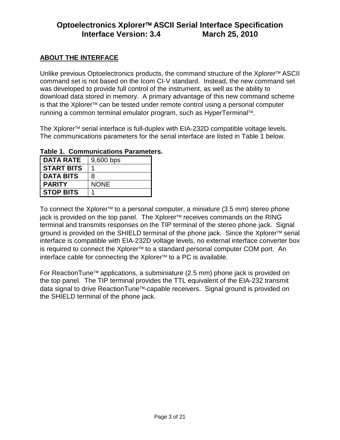### **ABOUT THE INTERFACE**

Unlike previous Optoelectronics products, the command structure of the Xplorer<sup>™</sup> ASCII command set is not based on the Icom CI-V standard. Instead, the new command set was developed to provide full control of the instrument, as well as the ability to download data stored in memory. A primary advantage of this new command scheme is that the Xplorer<sup>TM</sup> can be tested under remote control using a personal computer running a common terminal emulator program, such as HyperTerminal<sup>™</sup>.

The Xplorer<sup> $M$ </sup> serial interface is full-duplex with EIA-232D compatible voltage levels. The communications parameters for the serial interface are listed in Table 1 below.

| <b>DATA RATE</b>  | 9,600 bps   |
|-------------------|-------------|
| <b>START BITS</b> |             |
| <b>DATA BITS</b>  | 8           |
| <b>PARITY</b>     | <b>NONE</b> |
| <b>STOP BITS</b>  |             |

**Table 1. Communications Parameters.** 

To connect the Xplorer<sup> $M$ </sup> to a personal computer, a miniature (3.5 mm) stereo phone jack is provided on the top panel. The Xplorer<sup>™</sup> receives commands on the RING terminal and transmits responses on the TIP terminal of the stereo phone jack. Signal ground is provided on the SHIELD terminal of the phone jack. Since the Xplorer<sup>™</sup> serial interface is compatible with EIA-232D voltage levels, no external interface converter box is required to connect the Xplorer<sup>™</sup> to a standard personal computer COM port. An interface cable for connecting the Xplorer<sup>™</sup> to a PC is available.

For ReactionTune<sup> $M$ </sup> applications, a subminiature (2.5 mm) phone jack is provided on the top panel. The TIP terminal provides the TTL equivalent of the EIA-232 transmit data signal to drive ReactionTune<sup>™</sup>-capable receivers. Signal ground is provided on the SHIELD terminal of the phone jack.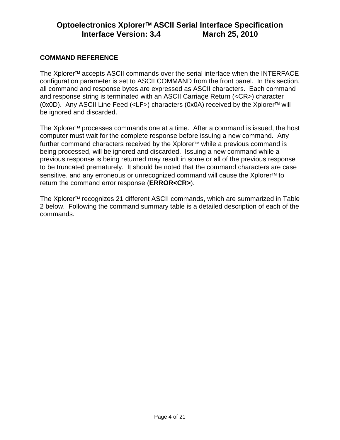### **COMMAND REFERENCE**

The Xplorer<sup>™</sup> accepts ASCII commands over the serial interface when the INTERFACE configuration parameter is set to ASCII COMMAND from the front panel. In this section, all command and response bytes are expressed as ASCII characters. Each command and response string is terminated with an ASCII Carriage Return (<CR>) character  $(0x0D)$ . Any ASCII Line Feed  $(\langle \mathsf{LF} \rangle)$  characters  $(0x0A)$  received by the Xplorer<sup>-M</sup> will be ignored and discarded.

The Xplorer<sup> $TM$ </sup> processes commands one at a time. After a command is issued, the host computer must wait for the complete response before issuing a new command. Any further command characters received by the Xplorer<sup>™</sup> while a previous command is being processed, will be ignored and discarded. Issuing a new command while a previous response is being returned may result in some or all of the previous response to be truncated prematurely. It should be noted that the command characters are case sensitive, and any erroneous or unrecognized command will cause the Xplorer<sup>™</sup> to return the command error response (**ERROR<CR>**).

The Xplorer<sup>™</sup> recognizes 21 different ASCII commands, which are summarized in Table 2 below. Following the command summary table is a detailed description of each of the commands.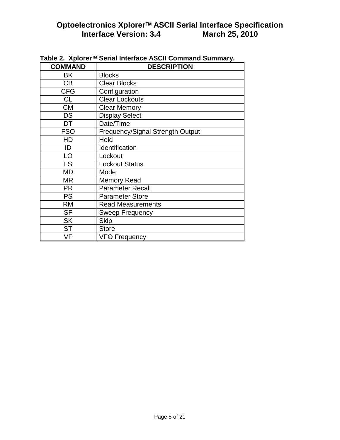| <b>COMMAND</b> | <b>DESCRIPTION</b>               |
|----------------|----------------------------------|
| BK             | <b>Blocks</b>                    |
| СB             | <b>Clear Blocks</b>              |
| <b>CFG</b>     | Configuration                    |
| <b>CL</b>      | <b>Clear Lockouts</b>            |
| <b>CM</b>      | <b>Clear Memory</b>              |
| <b>DS</b>      | <b>Display Select</b>            |
| <b>DT</b>      | Date/Time                        |
| <b>FSO</b>     | Frequency/Signal Strength Output |
| HD             | Hold                             |
| ID             | Identification                   |
| LO             | Lockout                          |
| <b>LS</b>      | <b>Lockout Status</b>            |
| <b>MD</b>      | Mode                             |
| MR             | <b>Memory Read</b>               |
| <b>PR</b>      | <b>Parameter Recall</b>          |
| <b>PS</b>      | <b>Parameter Store</b>           |
| <b>RM</b>      | <b>Read Measurements</b>         |
| <b>SF</b>      | <b>Sweep Frequency</b>           |
| <b>SK</b>      | <b>Skip</b>                      |
| <b>ST</b>      | <b>Store</b>                     |
| VF             | <b>VFO Frequency</b>             |

Table 2. Xplorer<sup>™</sup> Serial Interface ASCII Command Summary.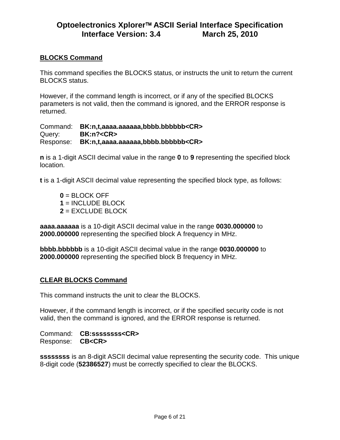### **BLOCKS Command**

This command specifies the BLOCKS status, or instructs the unit to return the current BLOCKS status.

However, if the command length is incorrect, or if any of the specified BLOCKS parameters is not valid, then the command is ignored, and the ERROR response is returned.

Command: **BK:n,t,aaaa.aaaaaa,bbbb.bbbbbb<CR>** Query: **BK:n?<CR>** Response: **BK:n,t,aaaa.aaaaaa,bbbb.bbbbbb<CR>**

**n** is a 1-digit ASCII decimal value in the range **0** to **9** representing the specified block location.

**t** is a 1-digit ASCII decimal value representing the specified block type, as follows:

**0** = BLOCK OFF **1** = INCLUDE BLOCK **2** = EXCLUDE BLOCK

**aaaa.aaaaaa** is a 10-digit ASCII decimal value in the range **0030.000000** to **2000.000000** representing the specified block A frequency in MHz.

**bbbb.bbbbbb** is a 10-digit ASCII decimal value in the range **0030.000000** to **2000.000000** representing the specified block B frequency in MHz.

#### **CLEAR BLOCKS Command**

This command instructs the unit to clear the BLOCKS.

However, if the command length is incorrect, or if the specified security code is not valid, then the command is ignored, and the ERROR response is returned.

Command: **CB:ssssssss<CR>** Response: **CB<CR>**

**ssssssss** is an 8-digit ASCII decimal value representing the security code. This unique 8-digit code (**52386527**) must be correctly specified to clear the BLOCKS.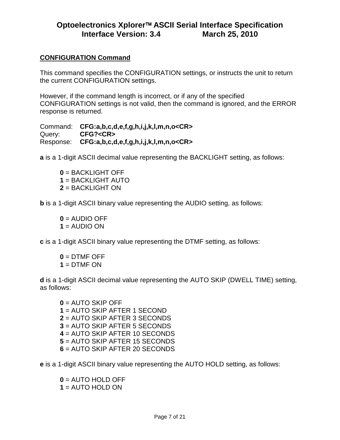### **CONFIGURATION Command**

This command specifies the CONFIGURATION settings, or instructs the unit to return the current CONFIGURATION settings.

However, if the command length is incorrect, or if any of the specified CONFIGURATION settings is not valid, then the command is ignored, and the ERROR response is returned.

Command: **CFG:a,b,c,d,e,f,g,h,i,j,k,l,m,n,o<CR>** Query: **CFG?<CR>** Response: **CFG:a,b,c,d,e,f,g,h,i,j,k,l,m,n,o<CR>**

**a** is a 1-digit ASCII decimal value representing the BACKLIGHT setting, as follows:

**0** = BACKLIGHT OFF **1** = BACKLIGHT AUTO **2** = BACKLIGHT ON

**b** is a 1-digit ASCII binary value representing the AUDIO setting, as follows:

**0** = AUDIO OFF **1** = AUDIO ON

**c** is a 1-digit ASCII binary value representing the DTMF setting, as follows:

**0** = DTMF OFF **1** = DTMF ON

**d** is a 1-digit ASCII decimal value representing the AUTO SKIP (DWELL TIME) setting, as follows:

 = AUTO SKIP OFF = AUTO SKIP AFTER 1 SECOND = AUTO SKIP AFTER 3 SECONDS = AUTO SKIP AFTER 5 SECONDS = AUTO SKIP AFTER 10 SECONDS = AUTO SKIP AFTER 15 SECONDS = AUTO SKIP AFTER 20 SECONDS

**e** is a 1-digit ASCII binary value representing the AUTO HOLD setting, as follows:

**0** = AUTO HOLD OFF **1** = AUTO HOLD ON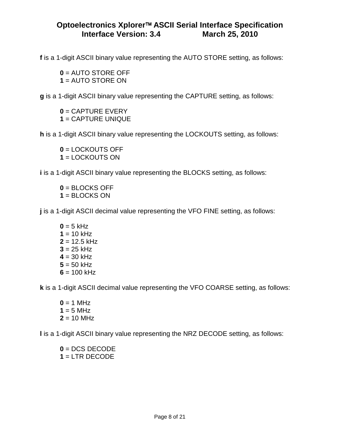**f** is a 1-digit ASCII binary value representing the AUTO STORE setting, as follows:

**0** = AUTO STORE OFF **1** = AUTO STORE ON

**g** is a 1-digit ASCII binary value representing the CAPTURE setting, as follows:

**0** = CAPTURE EVERY **1** = CAPTURE UNIQUE

**h** is a 1-digit ASCII binary value representing the LOCKOUTS setting, as follows:

**0** = LOCKOUTS OFF **1** = LOCKOUTS ON

**i** is a 1-digit ASCII binary value representing the BLOCKS setting, as follows:

**0** = BLOCKS OFF **1** = BLOCKS ON

**j** is a 1-digit ASCII decimal value representing the VFO FINE setting, as follows:

 $0 = 5$  kHz  $1 = 10$  kHz  $2 = 12.5$  kHz  $3 = 25$  kHz  $4 = 30$  kHz  $5 = 50$  kHz  $6 = 100$  kHz

**k** is a 1-digit ASCII decimal value representing the VFO COARSE setting, as follows:

 $0 = 1$  MHz  $1 = 5$  MHz  $2 = 10$  MHz

**l** is a 1-digit ASCII binary value representing the NRZ DECODE setting, as follows:

**0** = DCS DECODE **1** = LTR DECODE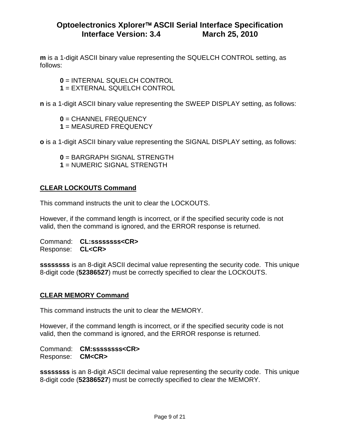**m** is a 1-digit ASCII binary value representing the SQUELCH CONTROL setting, as follows:

**0** = INTERNAL SQUELCH CONTROL **1** = EXTERNAL SQUELCH CONTROL

**n** is a 1-digit ASCII binary value representing the SWEEP DISPLAY setting, as follows:

**0** = CHANNEL FREQUENCY **1** = MEASURED FREQUENCY

**o** is a 1-digit ASCII binary value representing the SIGNAL DISPLAY setting, as follows:

**0** = BARGRAPH SIGNAL STRENGTH **1** = NUMERIC SIGNAL STRENGTH

### **CLEAR LOCKOUTS Command**

This command instructs the unit to clear the LOCKOUTS.

However, if the command length is incorrect, or if the specified security code is not valid, then the command is ignored, and the ERROR response is returned.

Command: **CL:ssssssss<CR>** Response: **CL<CR>**

**ssssssss** is an 8-digit ASCII decimal value representing the security code. This unique 8-digit code (**52386527**) must be correctly specified to clear the LOCKOUTS.

#### **CLEAR MEMORY Command**

This command instructs the unit to clear the MEMORY.

However, if the command length is incorrect, or if the specified security code is not valid, then the command is ignored, and the ERROR response is returned.

Command: **CM:ssssssss<CR>** Response: **CM<CR>**

**ssssssss** is an 8-digit ASCII decimal value representing the security code. This unique 8-digit code (**52386527**) must be correctly specified to clear the MEMORY.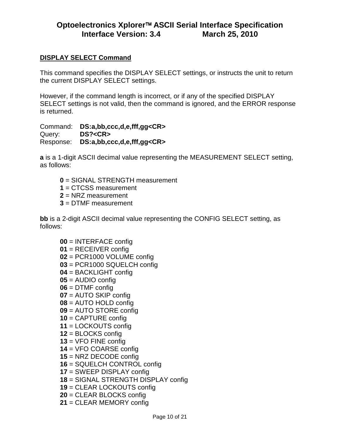### **DISPLAY SELECT Command**

This command specifies the DISPLAY SELECT settings, or instructs the unit to return the current DISPLAY SELECT settings.

However, if the command length is incorrect, or if any of the specified DISPLAY SELECT settings is not valid, then the command is ignored, and the ERROR response is returned.

Command: **DS:a,bb,ccc,d,e,fff,gg<CR>** Query: **DS?<CR>** Response: **DS:a,bb,ccc,d,e,fff,gg<CR>**

**a** is a 1-digit ASCII decimal value representing the MEASUREMENT SELECT setting, as follows:

- = SIGNAL STRENGTH measurement
- = CTCSS measurement
- = NRZ measurement
- = DTMF measurement

**bb** is a 2-digit ASCII decimal value representing the CONFIG SELECT setting, as follows:

 = INTERFACE config = RECEIVER config = PCR1000 VOLUME config = PCR1000 SQUELCH config = BACKLIGHT config = AUDIO config = DTMF config = AUTO SKIP config = AUTO HOLD config = AUTO STORE config = CAPTURE config = LOCKOUTS config = BLOCKS config = VFO FINE config = VFO COARSE config = NRZ DECODE config = SQUELCH CONTROL config = SWEEP DISPLAY config = SIGNAL STRENGTH DISPLAY config = CLEAR LOCKOUTS config = CLEAR BLOCKS config = CLEAR MEMORY config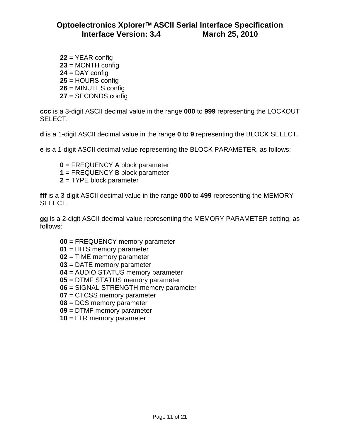= YEAR config = MONTH config = DAY config = HOURS config = MINUTES config = SECONDS config

**ccc** is a 3-digit ASCII decimal value in the range **000** to **999** representing the LOCKOUT SELECT.

**d** is a 1-digit ASCII decimal value in the range **0** to **9** representing the BLOCK SELECT.

**e** is a 1-digit ASCII decimal value representing the BLOCK PARAMETER, as follows:

- = FREQUENCY A block parameter
- = FREQUENCY B block parameter
- = TYPE block parameter

**fff** is a 3-digit ASCII decimal value in the range **000** to **499** representing the MEMORY SELECT.

**gg** is a 2-digit ASCII decimal value representing the MEMORY PARAMETER setting, as follows:

- = FREQUENCY memory parameter
- = HITS memory parameter
- = TIME memory parameter
- = DATE memory parameter
- = AUDIO STATUS memory parameter
- = DTMF STATUS memory parameter
- = SIGNAL STRENGTH memory parameter
- = CTCSS memory parameter
- = DCS memory parameter
- = DTMF memory parameter
- = LTR memory parameter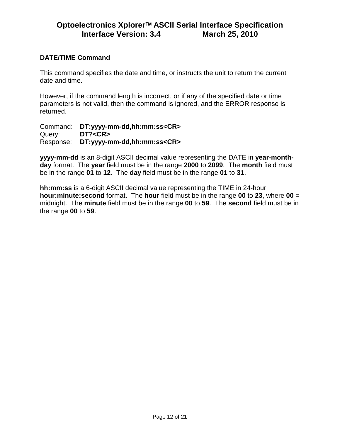#### **DATE/TIME Command**

This command specifies the date and time, or instructs the unit to return the current date and time.

However, if the command length is incorrect, or if any of the specified date or time parameters is not valid, then the command is ignored, and the ERROR response is returned.

Command: **DT:yyyy-mm-dd,hh:mm:ss<CR>** Query: **DT?<CR>** Response: **DT:yyyy-mm-dd,hh:mm:ss<CR>**

**yyyy-mm-dd** is an 8-digit ASCII decimal value representing the DATE in **year-monthday** format. The **year** field must be in the range **2000** to **2099**. The **month** field must be in the range **01** to **12**. The **day** field must be in the range **01** to **31**.

**hh:mm:ss** is a 6-digit ASCII decimal value representing the TIME in 24-hour **hour:minute:second** format. The **hour** field must be in the range **00** to **23**, where **00** = midnight. The **minute** field must be in the range **00** to **59**. The **second** field must be in the range **00** to **59**.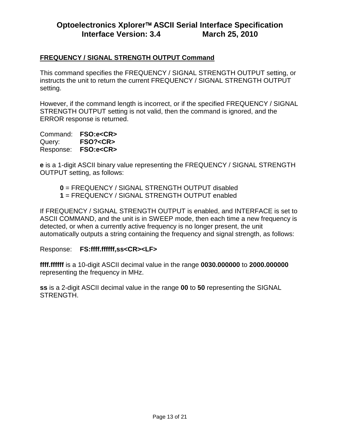### **FREQUENCY / SIGNAL STRENGTH OUTPUT Command**

This command specifies the FREQUENCY / SIGNAL STRENGTH OUTPUT setting, or instructs the unit to return the current FREQUENCY / SIGNAL STRENGTH OUTPUT setting.

However, if the command length is incorrect, or if the specified FREQUENCY / SIGNAL STRENGTH OUTPUT setting is not valid, then the command is ignored, and the ERROR response is returned.

Command: **FSO:e<CR>** Query: **FSO?<CR>** Response: **FSO:e<CR>**

**e** is a 1-digit ASCII binary value representing the FREQUENCY / SIGNAL STRENGTH OUTPUT setting, as follows:

**0** = FREQUENCY / SIGNAL STRENGTH OUTPUT disabled **1** = FREQUENCY / SIGNAL STRENGTH OUTPUT enabled

If FREQUENCY / SIGNAL STRENGTH OUTPUT is enabled, and INTERFACE is set to ASCII COMMAND, and the unit is in SWEEP mode, then each time a new frequency is detected, or when a currently active frequency is no longer present, the unit automatically outputs a string containing the frequency and signal strength, as follows:

Response: **FS:ffff.ffffff,ss<CR><LF>**

**ffff.ffffff** is a 10-digit ASCII decimal value in the range **0030.000000** to **2000.000000** representing the frequency in MHz.

**ss** is a 2-digit ASCII decimal value in the range **00** to **50** representing the SIGNAL STRENGTH.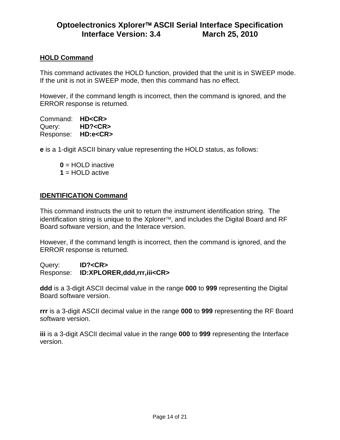#### **HOLD Command**

This command activates the HOLD function, provided that the unit is in SWEEP mode. If the unit is not in SWEEP mode, then this command has no effect.

However, if the command length is incorrect, then the command is ignored, and the ERROR response is returned.

Command: **HD<CR>** Query: **HD?<CR>** Response: **HD:e<CR>**

**e** is a 1-digit ASCII binary value representing the HOLD status, as follows:

**0** = HOLD inactive

**1** = HOLD active

#### **IDENTIFICATION Command**

This command instructs the unit to return the instrument identification string. The identification string is unique to the Xplorer<sup>™</sup>, and includes the Digital Board and RF Board software version, and the Interace version.

However, if the command length is incorrect, then the command is ignored, and the ERROR response is returned.

Query: **ID?<CR>** Response: **ID:XPLORER,ddd,rrr,iii<CR>**

**ddd** is a 3-digit ASCII decimal value in the range **000** to **999** representing the Digital Board software version.

**rrr** is a 3-digit ASCII decimal value in the range **000** to **999** representing the RF Board software version.

**iii** is a 3-digit ASCII decimal value in the range **000** to **999** representing the Interface version.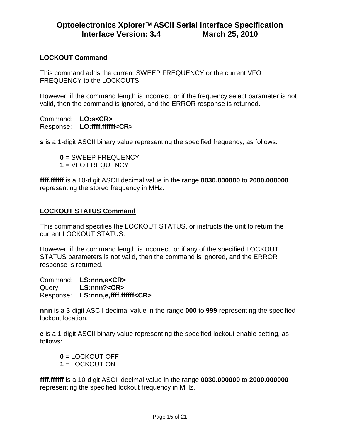### **LOCKOUT Command**

This command adds the current SWEEP FREQUENCY or the current VFO FREQUENCY to the LOCKOUTS.

However, if the command length is incorrect, or if the frequency select parameter is not valid, then the command is ignored, and the ERROR response is returned.

Command: **LO:s<CR>** Response: **LO:ffff.ffffff<CR>**

**s** is a 1-digit ASCII binary value representing the specified frequency, as follows:

**0** = SWEEP FREQUENCY **1** = VFO FREQUENCY

**ffff.ffffff** is a 10-digit ASCII decimal value in the range **0030.000000** to **2000.000000** representing the stored frequency in MHz.

#### **LOCKOUT STATUS Command**

This command specifies the LOCKOUT STATUS, or instructs the unit to return the current LOCKOUT STATUS.

However, if the command length is incorrect, or if any of the specified LOCKOUT STATUS parameters is not valid, then the command is ignored, and the ERROR response is returned.

Command: **LS:nnn,e<CR>** Query: **LS:nnn?<CR>** Response: **LS:nnn,e,ffff.ffffff<CR>**

**nnn** is a 3-digit ASCII decimal value in the range **000** to **999** representing the specified lockout location.

**e** is a 1-digit ASCII binary value representing the specified lockout enable setting, as follows:

**0** = LOCKOUT OFF **1** = LOCKOUT ON

**ffff.ffffff** is a 10-digit ASCII decimal value in the range **0030.000000** to **2000.000000** representing the specified lockout frequency in MHz.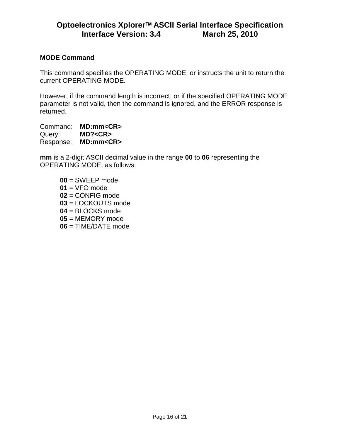#### **MODE Command**

This command specifies the OPERATING MODE, or instructs the unit to return the current OPERATING MODE.

However, if the command length is incorrect, or if the specified OPERATING MODE parameter is not valid, then the command is ignored, and the ERROR response is returned.

Command: **MD:mm<CR>** Query: **MD?<CR>** Response: **MD:mm<CR>**

**mm** is a 2-digit ASCII decimal value in the range **00** to **06** representing the OPERATING MODE, as follows:

 = SWEEP mode = VFO mode = CONFIG mode = LOCKOUTS mode = BLOCKS mode = MEMORY mode = TIME/DATE mode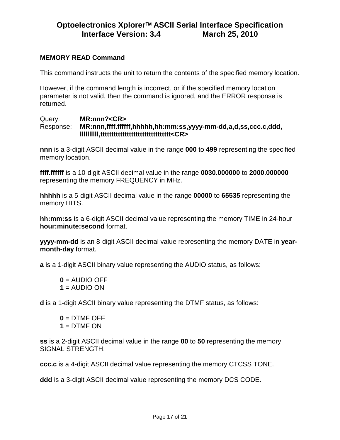### **MEMORY READ Command**

This command instructs the unit to return the contents of the specified memory location.

However, if the command length is incorrect, or if the specified memory location parameter is not valid, then the command is ignored, and the ERROR response is returned.

#### Query: **MR:nnn?<CR>** Response: **MR:nnn,ffff.ffffff,hhhhh,hh:mm:ss,yyyy-mm-dd,a,d,ss,ccc.c,ddd, llllllllll,tttttttttttttttttttttttttttttttt<CR>**

**nnn** is a 3-digit ASCII decimal value in the range **000** to **499** representing the specified memory location.

**ffff.ffffff** is a 10-digit ASCII decimal value in the range **0030.000000** to **2000.000000** representing the memory FREQUENCY in MHz.

**hhhhh** is a 5-digit ASCII decimal value in the range **00000** to **65535** representing the memory HITS.

**hh:mm:ss** is a 6-digit ASCII decimal value representing the memory TIME in 24-hour **hour:minute:second** format.

**yyyy-mm-dd** is an 8-digit ASCII decimal value representing the memory DATE in **yearmonth-day** format.

**a** is a 1-digit ASCII binary value representing the AUDIO status, as follows:

 $0 =$  AUDIO OFF  $1 = \text{AUDIO ON}$ 

**d** is a 1-digit ASCII binary value representing the DTMF status, as follows:

 $0 = D$ TMF OFF **1** = DTMF ON

**ss** is a 2-digit ASCII decimal value in the range **00** to **50** representing the memory SIGNAL STRENGTH.

**ccc.c** is a 4-digit ASCII decimal value representing the memory CTCSS TONE.

**ddd** is a 3-digit ASCII decimal value representing the memory DCS CODE.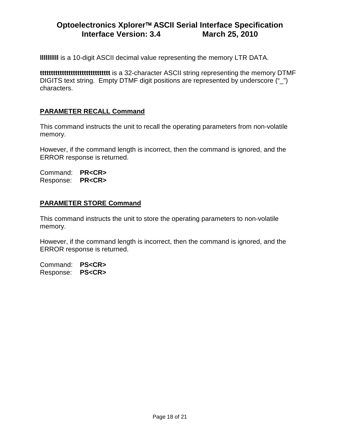**llllllllll** is a 10-digit ASCII decimal value representing the memory LTR DATA.

**tttttttttttttttttttttttttttttttt** is a 32-character ASCII string representing the memory DTMF DIGITS text string. Empty DTMF digit positions are represented by underscore (" ") characters.

### **PARAMETER RECALL Command**

This command instructs the unit to recall the operating parameters from non-volatile memory.

However, if the command length is incorrect, then the command is ignored, and the ERROR response is returned.

Command: **PR<CR>** Response: **PR<CR>**

### **PARAMETER STORE Command**

This command instructs the unit to store the operating parameters to non-volatile memory.

However, if the command length is incorrect, then the command is ignored, and the ERROR response is returned.

Command: **PS<CR>** Response: **PS<CR>**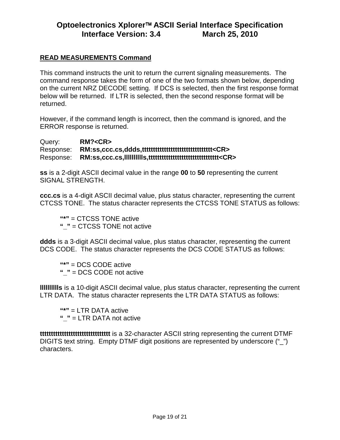### **READ MEASUREMENTS Command**

This command instructs the unit to return the current signaling measurements. The command response takes the form of one of the two formats shown below, depending on the current NRZ DECODE setting. If DCS is selected, then the first response format below will be returned. If LTR is selected, then the second response format will be returned.

However, if the command length is incorrect, then the command is ignored, and the ERROR response is returned.

Query: **RM?<CR>** Response: **RM:ss,ccc.cs,ddds,tttttttttttttttttttttttttttttttt<CR>** Response: **RM:ss,ccc.cs,lllllllllls,tttttttttttttttttttttttttttttttt<CR>**

**ss** is a 2-digit ASCII decimal value in the range **00** to **50** representing the current SIGNAL STRENGTH.

**ccc.cs** is a 4-digit ASCII decimal value, plus status character, representing the current CTCSS TONE. The status character represents the CTCSS TONE STATUS as follows:

**"\*"** = CTCSS TONE active **"\_"** = CTCSS TONE not active

**ddds** is a 3-digit ASCII decimal value, plus status character, representing the current DCS CODE. The status character represents the DCS CODE STATUS as follows:

**"\*"** = DCS CODE active **"\_"** = DCS CODE not active

**lllllllllls** is a 10-digit ASCII decimal value, plus status character, representing the current LTR DATA. The status character represents the LTR DATA STATUS as follows:

**"\*"** = LTR DATA active **"\_"** = LTR DATA not active

**tttttttttttttttttttttttttttttttt** is a 32-character ASCII string representing the current DTMF DIGITS text string. Empty DTMF digit positions are represented by underscore ("\_") characters.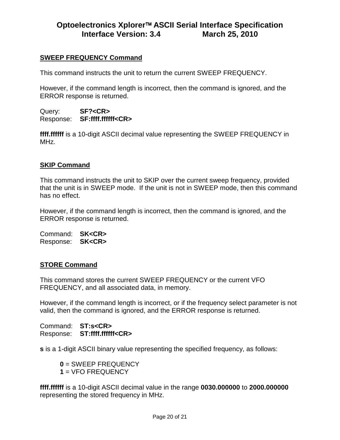### **SWEEP FREQUENCY Command**

This command instructs the unit to return the current SWEEP FREQUENCY.

However, if the command length is incorrect, then the command is ignored, and the ERROR response is returned.

Query: **SF?<CR>** Response: **SF:ffff.ffffff<CR>**

**ffff.ffffff** is a 10-digit ASCII decimal value representing the SWEEP FREQUENCY in MHz.

#### **SKIP Command**

This command instructs the unit to SKIP over the current sweep frequency, provided that the unit is in SWEEP mode. If the unit is not in SWEEP mode, then this command has no effect.

However, if the command length is incorrect, then the command is ignored, and the ERROR response is returned.

Command: **SK<CR>** Response: **SK<CR>**

#### **STORE Command**

This command stores the current SWEEP FREQUENCY or the current VFO FREQUENCY, and all associated data, in memory.

However, if the command length is incorrect, or if the frequency select parameter is not valid, then the command is ignored, and the ERROR response is returned.

Command: **ST:s<CR>** Response: **ST:ffff.ffffff<CR>**

**s** is a 1-digit ASCII binary value representing the specified frequency, as follows:

**0** = SWEEP FREQUENCY **1** = VFO FREQUENCY

**ffff.ffffff** is a 10-digit ASCII decimal value in the range **0030.000000** to **2000.000000** representing the stored frequency in MHz.